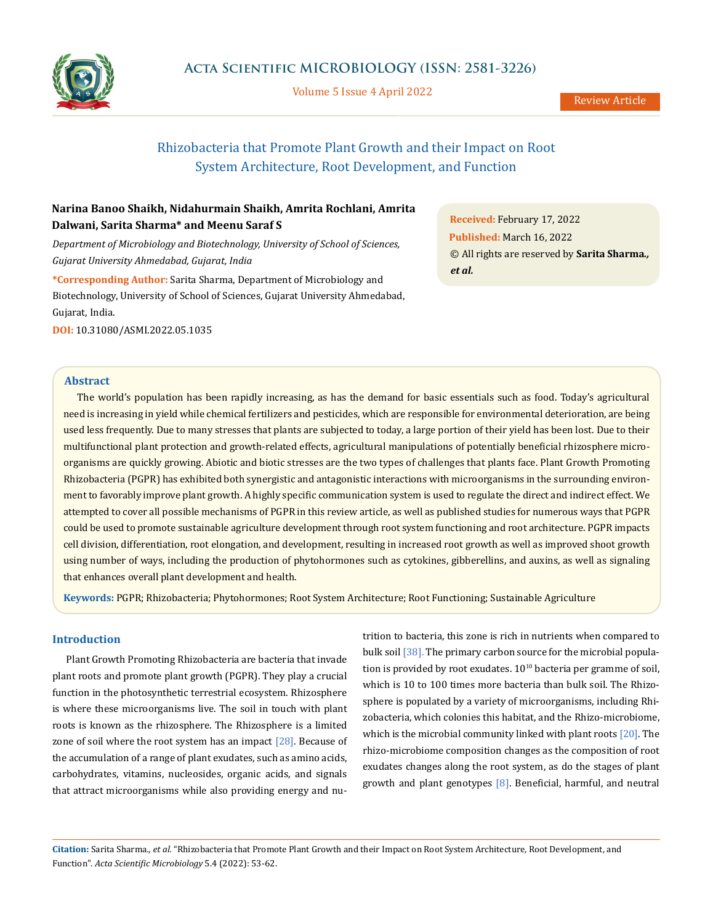

Volume 5 Issue 4 April 2022

# Rhizobacteria that Promote Plant Growth and their Impact on Root System Architecture, Root Development, and Function

## **Narina Banoo Shaikh, Nidahurmain Shaikh, Amrita Rochlani, Amrita Dalwani, Sarita Sharma\* and Meenu Saraf S**

*Department of Microbiology and Biotechnology, University of School of Sciences, Gujarat University Ahmedabad, Gujarat, India*

**\*Corresponding Author:** Sarita Sharma, Department of Microbiology and Biotechnology, University of School of Sciences, Gujarat University Ahmedabad, Gujarat, India.

**DOI:** [10.31080/ASMI.2022.05.1035](http://actascientific.com/ASMI/pdf/ASMI-05-1035.pdf)

**Abstract**

The world's population has been rapidly increasing, as has the demand for basic essentials such as food. Today's agricultural need is increasing in yield while chemical fertilizers and pesticides, which are responsible for environmental deterioration, are being used less frequently. Due to many stresses that plants are subjected to today, a large portion of their yield has been lost. Due to their multifunctional plant protection and growth-related effects, agricultural manipulations of potentially beneficial rhizosphere microorganisms are quickly growing. Abiotic and biotic stresses are the two types of challenges that plants face. Plant Growth Promoting Rhizobacteria (PGPR) has exhibited both synergistic and antagonistic interactions with microorganisms in the surrounding environment to favorably improve plant growth. A highly specific communication system is used to regulate the direct and indirect effect. We attempted to cover all possible mechanisms of PGPR in this review article, as well as published studies for numerous ways that PGPR could be used to promote sustainable agriculture development through root system functioning and root architecture. PGPR impacts cell division, differentiation, root elongation, and development, resulting in increased root growth as well as improved shoot growth using number of ways, including the production of phytohormones such as cytokines, gibberellins, and auxins, as well as signaling that enhances overall plant development and health.

**Keywords:** PGPR; Rhizobacteria; Phytohormones; Root System Architecture; Root Functioning; Sustainable Agriculture

### **Introduction**

Plant Growth Promoting Rhizobacteria are bacteria that invade plant roots and promote plant growth (PGPR). They play a crucial function in the photosynthetic terrestrial ecosystem. Rhizosphere is where these microorganisms live. The soil in touch with plant roots is known as the rhizosphere. The Rhizosphere is a limited zone of soil where the root system has an impact  $[28]$ . Because of the accumulation of a range of plant exudates, such as amino acids, carbohydrates, vitamins, nucleosides, organic acids, and signals that attract microorganisms while also providing energy and nu-

trition to bacteria, this zone is rich in nutrients when compared to bulk soil [38]. The primary carbon source for the microbial population is provided by root exudates.  $10^{10}$  bacteria per gramme of soil, which is 10 to 100 times more bacteria than bulk soil. The Rhizosphere is populated by a variety of microorganisms, including Rhizobacteria, which colonies this habitat, and the Rhizo-microbiome, which is the microbial community linked with plant roots [20]. The rhizo-microbiome composition changes as the composition of root exudates changes along the root system, as do the stages of plant growth and plant genotypes  $[8]$ . Beneficial, harmful, and neutral

**Citation:** Sarita Sharma*., et al.* "Rhizobacteria that Promote Plant Growth and their Impact on Root System Architecture, Root Development, and Function". *Acta Scientific Microbiology* 5.4 (2022): 53-62.

**Received:** February 17, 2022 **Published:** March 16, 2022 © All rights are reserved by **Sarita Sharma***., et al.*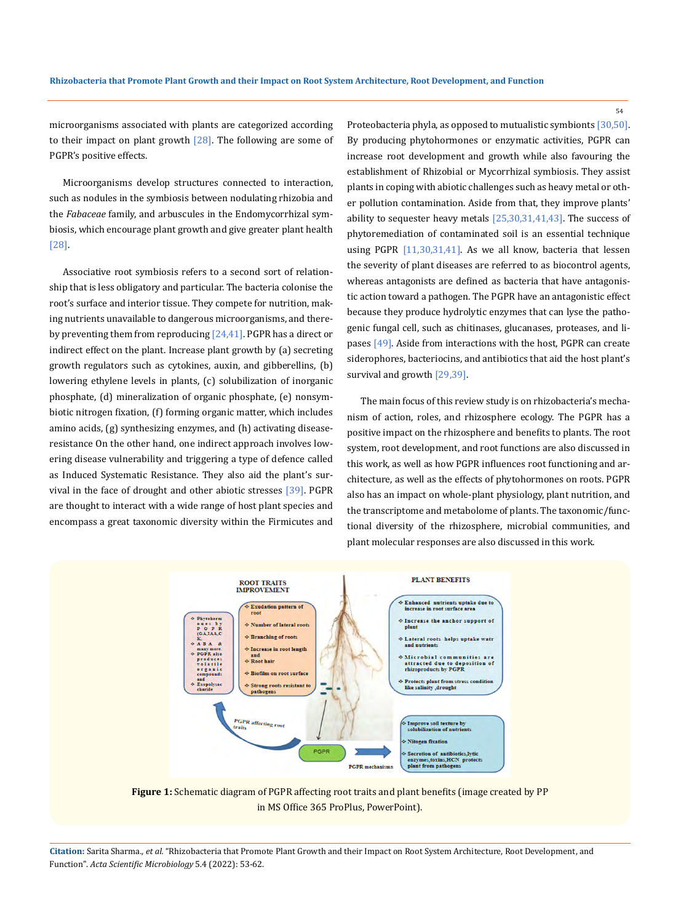microorganisms associated with plants are categorized according to their impact on plant growth  $[28]$ . The following are some of PGPR's positive effects.

Microorganisms develop structures connected to interaction, such as nodules in the symbiosis between nodulating rhizobia and the *Fabaceae* family, and arbuscules in the Endomycorrhizal symbiosis, which encourage plant growth and give greater plant health [28].

Associative root symbiosis refers to a second sort of relationship that is less obligatory and particular. The bacteria colonise the root's surface and interior tissue. They compete for nutrition, making nutrients unavailable to dangerous microorganisms, and thereby preventing them from reproducing  $[24,41]$ . PGPR has a direct or indirect effect on the plant. Increase plant growth by (a) secreting growth regulators such as cytokines, auxin, and gibberellins, (b) lowering ethylene levels in plants, (c) solubilization of inorganic phosphate, (d) mineralization of organic phosphate, (e) nonsymbiotic nitrogen fixation, (f) forming organic matter, which includes amino acids, (g) synthesizing enzymes, and (h) activating diseaseresistance On the other hand, one indirect approach involves lowering disease vulnerability and triggering a type of defence called as Induced Systematic Resistance. They also aid the plant's survival in the face of drought and other abiotic stresses [39]. PGPR are thought to interact with a wide range of host plant species and encompass a great taxonomic diversity within the Firmicutes and Proteobacteria phyla, as opposed to mutualistic symbionts [30,50]. By producing phytohormones or enzymatic activities, PGPR can increase root development and growth while also favouring the establishment of Rhizobial or Mycorrhizal symbiosis. They assist plants in coping with abiotic challenges such as heavy metal or other pollution contamination. Aside from that, they improve plants' ability to sequester heavy metals [25,30,31,41,43]. The success of phytoremediation of contaminated soil is an essential technique using PGPR [11,30,31,41]. As we all know, bacteria that lessen the severity of plant diseases are referred to as biocontrol agents, whereas antagonists are defined as bacteria that have antagonistic action toward a pathogen. The PGPR have an antagonistic effect because they produce hydrolytic enzymes that can lyse the pathogenic fungal cell, such as chitinases, glucanases, proteases, and lipases [49]. Aside from interactions with the host, PGPR can create siderophores, bacteriocins, and antibiotics that aid the host plant's survival and growth [29,39].

The main focus of this review study is on rhizobacteria's mechanism of action, roles, and rhizosphere ecology. The PGPR has a positive impact on the rhizosphere and benefits to plants. The root system, root development, and root functions are also discussed in this work, as well as how PGPR influences root functioning and architecture, as well as the effects of phytohormones on roots. PGPR also has an impact on whole-plant physiology, plant nutrition, and the transcriptome and metabolome of plants. The taxonomic/functional diversity of the rhizosphere, microbial communities, and plant molecular responses are also discussed in this work.



**Figure 1:** Schematic diagram of PGPR affecting root traits and plant benefits (image created by PP in MS Office 365 ProPlus, PowerPoint).

**Citation:** Sarita Sharma*., et al.* "Rhizobacteria that Promote Plant Growth and their Impact on Root System Architecture, Root Development, and Function". *Acta Scientific Microbiology* 5.4 (2022): 53-62.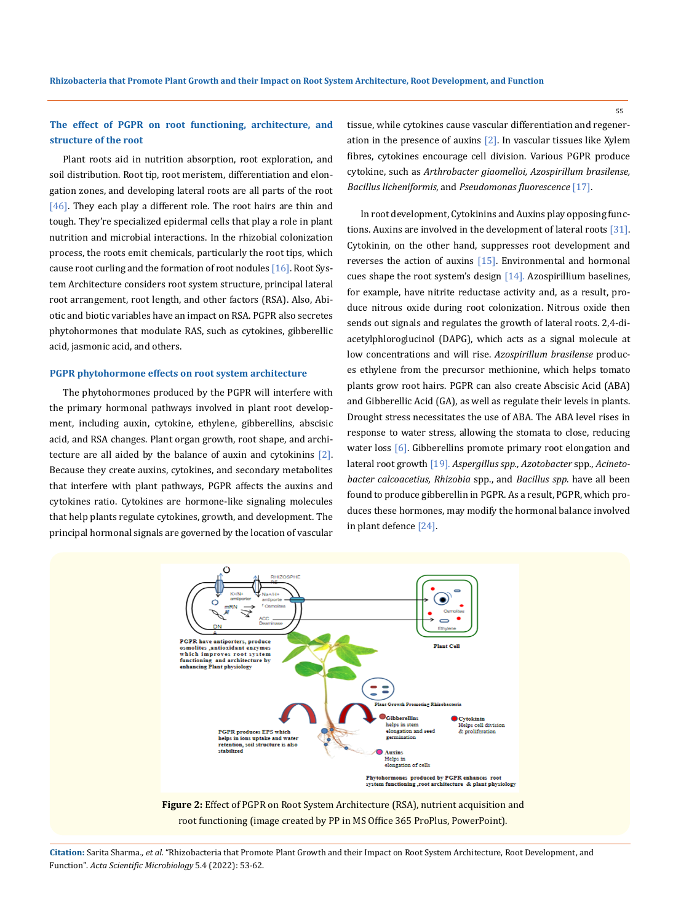## **The effect of PGPR on root functioning, architecture, and structure of the root**

Plant roots aid in nutrition absorption, root exploration, and soil distribution. Root tip, root meristem, differentiation and elongation zones, and developing lateral roots are all parts of the root  $[46]$ . They each play a different role. The root hairs are thin and tough. They're specialized epidermal cells that play a role in plant nutrition and microbial interactions. In the rhizobial colonization process, the roots emit chemicals, particularly the root tips, which cause root curling and the formation of root nodules [16]. Root System Architecture considers root system structure, principal lateral root arrangement, root length, and other factors (RSA). Also, Abiotic and biotic variables have an impact on RSA. PGPR also secretes phytohormones that modulate RAS, such as cytokines, gibberellic acid, jasmonic acid, and others.

### **PGPR phytohormone effects on root system architecture**

The phytohormones produced by the PGPR will interfere with the primary hormonal pathways involved in plant root development, including auxin, cytokine, ethylene, gibberellins, abscisic acid, and RSA changes. Plant organ growth, root shape, and architecture are all aided by the balance of auxin and cytokinins  $[2]$ . Because they create auxins, cytokines, and secondary metabolites that interfere with plant pathways, PGPR affects the auxins and cytokines ratio. Cytokines are hormone-like signaling molecules that help plants regulate cytokines, growth, and development. The principal hormonal signals are governed by the location of vascular tissue, while cytokines cause vascular differentiation and regeneration in the presence of auxins [2]. In vascular tissues like Xylem fibres, cytokines encourage cell division. Various PGPR produce cytokine, such as *Arthrobacter giaomelloi, Azospirillum brasilense, Bacillus licheniformis*, and *Pseudomonas fluorescence* [17].

In root development, Cytokinins and Auxins play opposing functions. Auxins are involved in the development of lateral roots [31]. Cytokinin, on the other hand, suppresses root development and reverses the action of auxins  $[15]$ . Environmental and hormonal cues shape the root system's design [14]. Azospirillium baselines, for example, have nitrite reductase activity and, as a result, produce nitrous oxide during root colonization. Nitrous oxide then sends out signals and regulates the growth of lateral roots. 2,4-diacetylphloroglucinol (DAPG), which acts as a signal molecule at low concentrations and will rise. *Azospirillum brasilense* produces ethylene from the precursor methionine, which helps tomato plants grow root hairs. PGPR can also create Abscisic Acid (ABA) and Gibberellic Acid (GA), as well as regulate their levels in plants. Drought stress necessitates the use of ABA. The ABA level rises in response to water stress, allowing the stomata to close, reducing water loss [6]. Gibberellins promote primary root elongation and lateral root growth [19]. *Aspergillus spp., Azotobacter* spp*.*, *Acinetobacter calcoacetius, Rhizobia* spp., and *Bacillus spp*. have all been found to produce gibberellin in PGPR. As a result, PGPR, which produces these hormones, may modify the hormonal balance involved in plant defence [24].



root functioning (image created by PP in MS Office 365 ProPlus, PowerPoint).

**Citation:** Sarita Sharma*., et al.* "Rhizobacteria that Promote Plant Growth and their Impact on Root System Architecture, Root Development, and Function". *Acta Scientific Microbiology* 5.4 (2022): 53-62.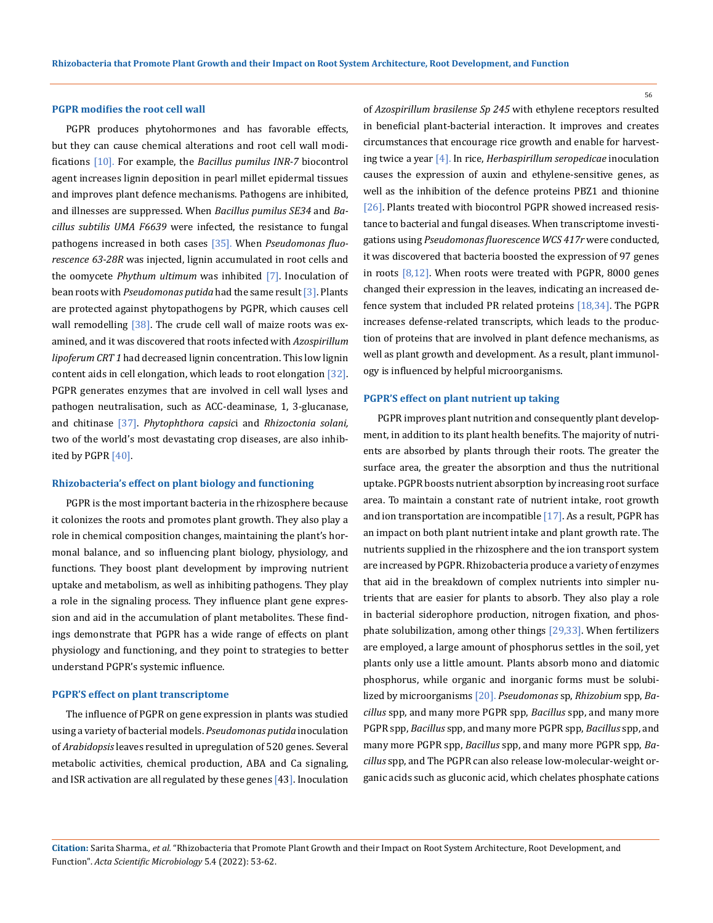### **PGPR modifies the root cell wall**

PGPR produces phytohormones and has favorable effects, but they can cause chemical alterations and root cell wall modifications [10]. For example, the *Bacillus pumilus INR-7* biocontrol agent increases lignin deposition in pearl millet epidermal tissues and improves plant defence mechanisms. Pathogens are inhibited, and illnesses are suppressed. When *Bacillus pumilus SE34* and *Bacillus subtilis UMA F6639* were infected, the resistance to fungal pathogens increased in both cases [35]. When *Pseudomonas fluorescence 63-28R* was injected, lignin accumulated in root cells and the oomycete *Phythum ultimum* was inhibited [7]. Inoculation of bean roots with *Pseudomonas putida* had the same result [3]. Plants are protected against phytopathogens by PGPR, which causes cell wall remodelling [38]. The crude cell wall of maize roots was examined, and it was discovered that roots infected with *Azospirillum lipoferum CRT 1* had decreased lignin concentration. This low lignin content aids in cell elongation, which leads to root elongation [32]. PGPR generates enzymes that are involved in cell wall lyses and pathogen neutralisation, such as ACC-deaminase, 1, 3-glucanase, and chitinase [37]. *Phytophthora capsic*i and *Rhizoctonia solani,* two of the world's most devastating crop diseases, are also inhibited by PGPR [40].

### **Rhizobacteria's effect on plant biology and functioning**

PGPR is the most important bacteria in the rhizosphere because it colonizes the roots and promotes plant growth. They also play a role in chemical composition changes, maintaining the plant's hormonal balance, and so influencing plant biology, physiology, and functions. They boost plant development by improving nutrient uptake and metabolism, as well as inhibiting pathogens. They play a role in the signaling process. They influence plant gene expression and aid in the accumulation of plant metabolites. These findings demonstrate that PGPR has a wide range of effects on plant physiology and functioning, and they point to strategies to better understand PGPR's systemic influence.

#### **PGPR'S effect on plant transcriptome**

The influence of PGPR on gene expression in plants was studied using a variety of bacterial models. *Pseudomonas putida* inoculation of *Arabidopsis* leaves resulted in upregulation of 520 genes. Several metabolic activities, chemical production, ABA and Ca signaling, and ISR activation are all regulated by these genes [43]. Inoculation of *Azospirillum brasilense Sp 245* with ethylene receptors resulted in beneficial plant-bacterial interaction. It improves and creates circumstances that encourage rice growth and enable for harvesting twice a year [4]. In rice, *Herbaspirillum seropedicae* inoculation causes the expression of auxin and ethylene-sensitive genes, as well as the inhibition of the defence proteins PBZ1 and thionine [26]. Plants treated with biocontrol PGPR showed increased resistance to bacterial and fungal diseases. When transcriptome investigations using *Pseudomonas fluorescence WCS 417r* were conducted, it was discovered that bacteria boosted the expression of 97 genes in roots [8,12]. When roots were treated with PGPR, 8000 genes changed their expression in the leaves, indicating an increased defence system that included PR related proteins [18,34]. The PGPR increases defense-related transcripts, which leads to the production of proteins that are involved in plant defence mechanisms, as well as plant growth and development. As a result, plant immunology is influenced by helpful microorganisms.

#### **PGPR'S effect on plant nutrient up taking**

PGPR improves plant nutrition and consequently plant development, in addition to its plant health benefits. The majority of nutrients are absorbed by plants through their roots. The greater the surface area, the greater the absorption and thus the nutritional uptake. PGPR boosts nutrient absorption by increasing root surface area. To maintain a constant rate of nutrient intake, root growth and ion transportation are incompatible [17]. As a result, PGPR has an impact on both plant nutrient intake and plant growth rate. The nutrients supplied in the rhizosphere and the ion transport system are increased by PGPR. Rhizobacteria produce a variety of enzymes that aid in the breakdown of complex nutrients into simpler nutrients that are easier for plants to absorb. They also play a role in bacterial siderophore production, nitrogen fixation, and phosphate solubilization, among other things [29,33]. When fertilizers are employed, a large amount of phosphorus settles in the soil, yet plants only use a little amount. Plants absorb mono and diatomic phosphorus, while organic and inorganic forms must be solubilized by microorganisms [20]. *Pseudomonas* sp, *Rhizobium* spp, *Bacillus* spp, and many more PGPR spp, *Bacillus* spp, and many more PGPR spp, *Bacillus* spp, and many more PGPR spp, *Bacillus* spp, and many more PGPR spp, *Bacillus* spp, and many more PGPR spp, *Bacillus* spp, and The PGPR can also release low-molecular-weight organic acids such as gluconic acid, which chelates phosphate cations

**Citation:** Sarita Sharma*., et al.* "Rhizobacteria that Promote Plant Growth and their Impact on Root System Architecture, Root Development, and Function". *Acta Scientific Microbiology* 5.4 (2022): 53-62.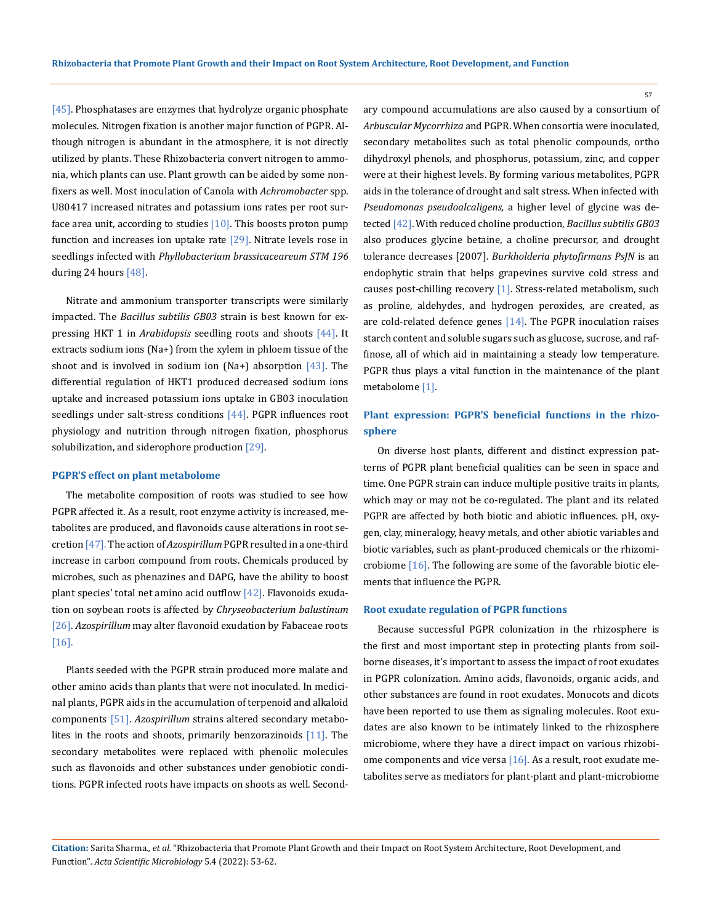[45]. Phosphatases are enzymes that hydrolyze organic phosphate molecules. Nitrogen fixation is another major function of PGPR. Although nitrogen is abundant in the atmosphere, it is not directly utilized by plants. These Rhizobacteria convert nitrogen to ammonia, which plants can use. Plant growth can be aided by some nonfixers as well. Most inoculation of Canola with *Achromobacter* spp. U80417 increased nitrates and potassium ions rates per root surface area unit, according to studies  $[10]$ . This boosts proton pump function and increases ion uptake rate  $[29]$ . Nitrate levels rose in seedlings infected with *Phyllobacterium brassicaceareum STM 196*  during 24 hours [48].

Nitrate and ammonium transporter transcripts were similarly impacted. The *Bacillus subtilis GB03* strain is best known for expressing HKT 1 in *Arabidopsis* seedling roots and shoots [44]. It extracts sodium ions (Na+) from the xylem in phloem tissue of the shoot and is involved in sodium ion (Na+) absorption  $[43]$ . The differential regulation of HKT1 produced decreased sodium ions uptake and increased potassium ions uptake in GB03 inoculation seedlings under salt-stress conditions  $[44]$ . PGPR influences root physiology and nutrition through nitrogen fixation, phosphorus solubilization, and siderophore production [29].

#### **PGPR'S effect on plant metabolome**

The metabolite composition of roots was studied to see how PGPR affected it. As a result, root enzyme activity is increased, metabolites are produced, and flavonoids cause alterations in root secretion [47]. The action of *Azospirillum* PGPR resulted in a one-third increase in carbon compound from roots. Chemicals produced by microbes, such as phenazines and DAPG, have the ability to boost plant species' total net amino acid outflow  $[42]$ . Flavonoids exudation on soybean roots is affected by *Chryseobacterium balustinum* [26]. *Azospirillum* may alter flavonoid exudation by Fabaceae roots [16].

Plants seeded with the PGPR strain produced more malate and other amino acids than plants that were not inoculated. In medicinal plants, PGPR aids in the accumulation of terpenoid and alkaloid components [51]. *Azospirillum* strains altered secondary metabolites in the roots and shoots, primarily benzorazinoids  $[11]$ . The secondary metabolites were replaced with phenolic molecules such as flavonoids and other substances under genobiotic conditions. PGPR infected roots have impacts on shoots as well. Secondary compound accumulations are also caused by a consortium of *Arbuscular Mycorrhiza* and PGPR. When consortia were inoculated, secondary metabolites such as total phenolic compounds, ortho dihydroxyl phenols, and phosphorus, potassium, zinc, and copper were at their highest levels. By forming various metabolites, PGPR aids in the tolerance of drought and salt stress. When infected with *Pseudomonas pseudoalcaligens,* a higher level of glycine was detected [42]. With reduced choline production, *Bacillus subtilis GB03* also produces glycine betaine, a choline precursor, and drought tolerance decreases [2007]. *Burkholderia phytofirmans PsJN* is an endophytic strain that helps grapevines survive cold stress and causes post-chilling recovery [1]. Stress-related metabolism, such as proline, aldehydes, and hydrogen peroxides, are created, as are cold-related defence genes [14]. The PGPR inoculation raises starch content and soluble sugars such as glucose, sucrose, and raffinose, all of which aid in maintaining a steady low temperature. PGPR thus plays a vital function in the maintenance of the plant metabolome [1].

## **Plant expression: PGPR'S beneficial functions in the rhizosphere**

On diverse host plants, different and distinct expression patterns of PGPR plant beneficial qualities can be seen in space and time. One PGPR strain can induce multiple positive traits in plants, which may or may not be co-regulated. The plant and its related PGPR are affected by both biotic and abiotic influences. pH, oxygen, clay, mineralogy, heavy metals, and other abiotic variables and biotic variables, such as plant-produced chemicals or the rhizomicrobiome [16]. The following are some of the favorable biotic elements that influence the PGPR.

### **Root exudate regulation of PGPR functions**

Because successful PGPR colonization in the rhizosphere is the first and most important step in protecting plants from soilborne diseases, it's important to assess the impact of root exudates in PGPR colonization. Amino acids, flavonoids, organic acids, and other substances are found in root exudates. Monocots and dicots have been reported to use them as signaling molecules. Root exudates are also known to be intimately linked to the rhizosphere microbiome, where they have a direct impact on various rhizobiome components and vice versa  $[16]$ . As a result, root exudate metabolites serve as mediators for plant-plant and plant-microbiome

**Citation:** Sarita Sharma*., et al.* "Rhizobacteria that Promote Plant Growth and their Impact on Root System Architecture, Root Development, and Function". *Acta Scientific Microbiology* 5.4 (2022): 53-62.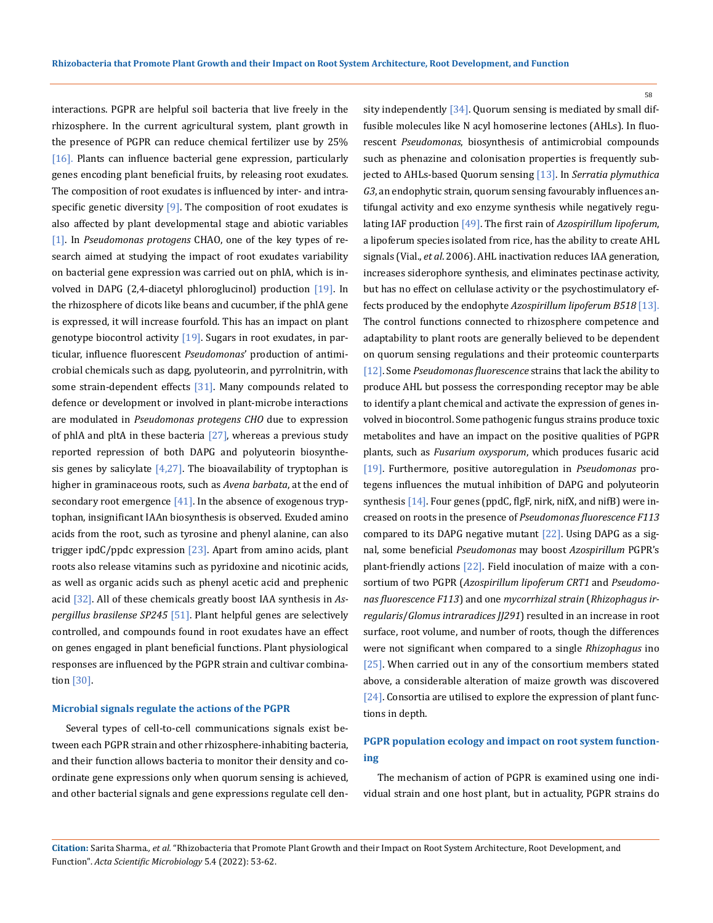interactions. PGPR are helpful soil bacteria that live freely in the rhizosphere. In the current agricultural system, plant growth in the presence of PGPR can reduce chemical fertilizer use by 25% [16]. Plants can influence bacterial gene expression, particularly genes encoding plant beneficial fruits, by releasing root exudates. The composition of root exudates is influenced by inter- and intraspecific genetic diversity  $[9]$ . The composition of root exudates is also affected by plant developmental stage and abiotic variables [1]. In *Pseudomonas protogens* CHAO, one of the key types of research aimed at studying the impact of root exudates variability on bacterial gene expression was carried out on phlA, which is involved in DAPG (2,4-diacetyl phloroglucinol) production [19]. In the rhizosphere of dicots like beans and cucumber, if the phlA gene is expressed, it will increase fourfold. This has an impact on plant genotype biocontrol activity  $[19]$ . Sugars in root exudates, in particular, influence fluorescent *Pseudomonas*' production of antimicrobial chemicals such as dapg, pyoluteorin, and pyrrolnitrin, with some strain-dependent effects  $[31]$ . Many compounds related to defence or development or involved in plant-microbe interactions are modulated in *Pseudomonas protegens CHO* due to expression of phlA and pltA in these bacteria [27], whereas a previous study reported repression of both DAPG and polyuteorin biosynthesis genes by salicylate  $[4,27]$ . The bioavailability of tryptophan is higher in graminaceous roots, such as *Avena barbata*, at the end of secondary root emergence  $[41]$ . In the absence of exogenous tryptophan, insignificant IAAn biosynthesis is observed. Exuded amino acids from the root, such as tyrosine and phenyl alanine, can also trigger ipd $C$ /ppdc expression  $[23]$ . Apart from amino acids, plant roots also release vitamins such as pyridoxine and nicotinic acids, as well as organic acids such as phenyl acetic acid and prephenic acid [32]. All of these chemicals greatly boost IAA synthesis in *Aspergillus brasilense SP245* [51]. Plant helpful genes are selectively controlled, and compounds found in root exudates have an effect on genes engaged in plant beneficial functions. Plant physiological responses are influenced by the PGPR strain and cultivar combination [30].

### **Microbial signals regulate the actions of the PGPR**

Several types of cell-to-cell communications signals exist between each PGPR strain and other rhizosphere-inhabiting bacteria, and their function allows bacteria to monitor their density and coordinate gene expressions only when quorum sensing is achieved, and other bacterial signals and gene expressions regulate cell density independently [34]. Quorum sensing is mediated by small diffusible molecules like N acyl homoserine lectones (AHLs). In fluorescent *Pseudomonas*, biosynthesis of antimicrobial compounds such as phenazine and colonisation properties is frequently subjected to AHLs-based Quorum sensing [13]. In *Serratia plymuthica G3*, an endophytic strain, quorum sensing favourably influences antifungal activity and exo enzyme synthesis while negatively regulating IAF production [49]. The first rain of *Azospirillum lipoferum*, a lipoferum species isolated from rice, has the ability to create AHL signals (Vial., *et al*. 2006). AHL inactivation reduces IAA generation, increases siderophore synthesis, and eliminates pectinase activity, but has no effect on cellulase activity or the psychostimulatory effects produced by the endophyte *Azospirillum lipoferum B518* [13]. The control functions connected to rhizosphere competence and adaptability to plant roots are generally believed to be dependent on quorum sensing regulations and their proteomic counterparts [12]. Some *Pseudomonas fluorescence* strains that lack the ability to produce AHL but possess the corresponding receptor may be able to identify a plant chemical and activate the expression of genes involved in biocontrol. Some pathogenic fungus strains produce toxic metabolites and have an impact on the positive qualities of PGPR plants, such as *Fusarium oxysporum*, which produces fusaric acid [19]. Furthermore, positive autoregulation in *Pseudomonas* protegens influences the mutual inhibition of DAPG and polyuteorin synthesis [14]. Four genes (ppdC, flgF, nirk, nifX, and nifB) were increased on roots in the presence of *Pseudomonas fluorescence F113*  compared to its DAPG negative mutant [22]. Using DAPG as a signal, some beneficial *Pseudomonas* may boost *Azospirillum* PGPR's plant-friendly actions [22]. Field inoculation of maize with a consortium of two PGPR (*Azospirillum lipoferum CRT1* and *Pseudomonas fluorescence F113*) and one *mycorrhizal strain* (*Rhizophagus irregularis*/*Glomus intraradices JJ291*) resulted in an increase in root surface, root volume, and number of roots, though the differences were not significant when compared to a single *Rhizophagus* ino [25]. When carried out in any of the consortium members stated above, a considerable alteration of maize growth was discovered [24]. Consortia are utilised to explore the expression of plant functions in depth.

## **PGPR population ecology and impact on root system functioning**

The mechanism of action of PGPR is examined using one individual strain and one host plant, but in actuality, PGPR strains do

**Citation:** Sarita Sharma*., et al.* "Rhizobacteria that Promote Plant Growth and their Impact on Root System Architecture, Root Development, and Function". *Acta Scientific Microbiology* 5.4 (2022): 53-62.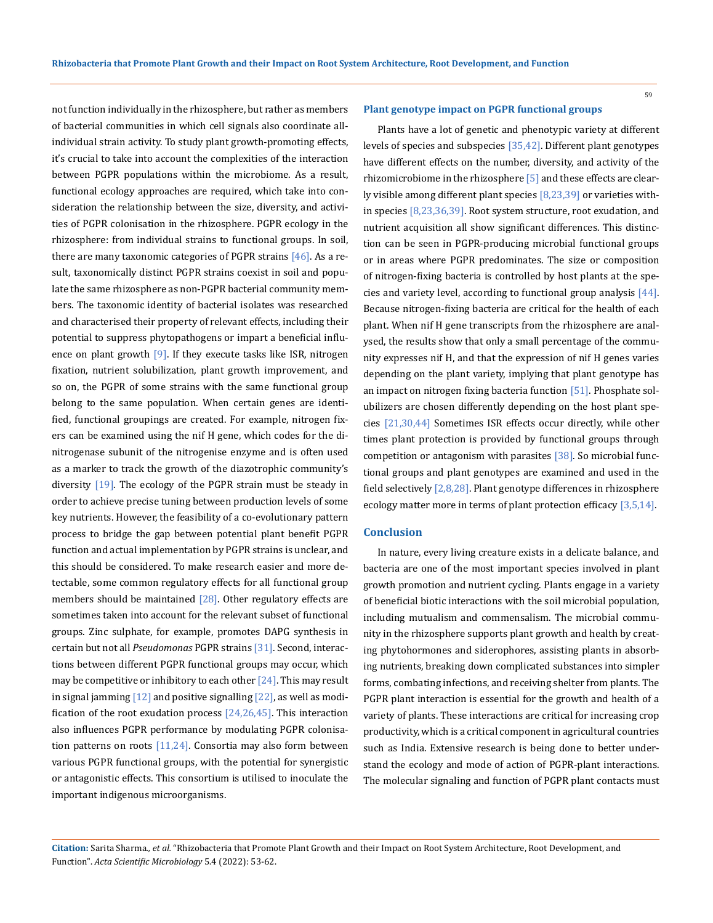59

not function individually in the rhizosphere, but rather as members of bacterial communities in which cell signals also coordinate allindividual strain activity. To study plant growth-promoting effects, it's crucial to take into account the complexities of the interaction between PGPR populations within the microbiome. As a result, functional ecology approaches are required, which take into consideration the relationship between the size, diversity, and activities of PGPR colonisation in the rhizosphere. PGPR ecology in the rhizosphere: from individual strains to functional groups. In soil, there are many taxonomic categories of PGPR strains [46]. As a result, taxonomically distinct PGPR strains coexist in soil and populate the same rhizosphere as non-PGPR bacterial community members. The taxonomic identity of bacterial isolates was researched and characterised their property of relevant effects, including their potential to suppress phytopathogens or impart a beneficial influence on plant growth  $[9]$ . If they execute tasks like ISR, nitrogen fixation, nutrient solubilization, plant growth improvement, and so on, the PGPR of some strains with the same functional group belong to the same population. When certain genes are identified, functional groupings are created. For example, nitrogen fixers can be examined using the nif H gene, which codes for the dinitrogenase subunit of the nitrogenise enzyme and is often used as a marker to track the growth of the diazotrophic community's diversity [19]. The ecology of the PGPR strain must be steady in order to achieve precise tuning between production levels of some key nutrients. However, the feasibility of a co-evolutionary pattern process to bridge the gap between potential plant benefit PGPR function and actual implementation by PGPR strains is unclear, and this should be considered. To make research easier and more detectable, some common regulatory effects for all functional group members should be maintained  $[28]$ . Other regulatory effects are sometimes taken into account for the relevant subset of functional groups. Zinc sulphate, for example, promotes DAPG synthesis in certain but not all *Pseudomonas* PGPR strains [31]. Second, interactions between different PGPR functional groups may occur, which may be competitive or inhibitory to each other  $[24]$ . This may result in signal jamming  $\left[12\right]$  and positive signalling  $\left[22\right]$ , as well as modification of the root exudation process  $[24,26,45]$ . This interaction also influences PGPR performance by modulating PGPR colonisation patterns on roots  $[11,24]$ . Consortia may also form between various PGPR functional groups, with the potential for synergistic or antagonistic effects. This consortium is utilised to inoculate the important indigenous microorganisms.

#### **Plant genotype impact on PGPR functional groups**

Plants have a lot of genetic and phenotypic variety at different levels of species and subspecies [35,42]. Different plant genotypes have different effects on the number, diversity, and activity of the rhizomicrobiome in the rhizosphere [5] and these effects are clearly visible among different plant species [8,23,39] or varieties within species [8,23,36,39]. Root system structure, root exudation, and nutrient acquisition all show significant differences. This distinction can be seen in PGPR-producing microbial functional groups or in areas where PGPR predominates. The size or composition of nitrogen-fixing bacteria is controlled by host plants at the species and variety level, according to functional group analysis [44]. Because nitrogen-fixing bacteria are critical for the health of each plant. When nif H gene transcripts from the rhizosphere are analysed, the results show that only a small percentage of the community expresses nif H, and that the expression of nif H genes varies depending on the plant variety, implying that plant genotype has an impact on nitrogen fixing bacteria function [51]. Phosphate solubilizers are chosen differently depending on the host plant species [21,30,44] Sometimes ISR effects occur directly, while other times plant protection is provided by functional groups through competition or antagonism with parasites [38]. So microbial functional groups and plant genotypes are examined and used in the field selectively [2,8,28]. Plant genotype differences in rhizosphere ecology matter more in terms of plant protection efficacy [3,5,14].

### **Conclusion**

In nature, every living creature exists in a delicate balance, and bacteria are one of the most important species involved in plant growth promotion and nutrient cycling. Plants engage in a variety of beneficial biotic interactions with the soil microbial population, including mutualism and commensalism. The microbial community in the rhizosphere supports plant growth and health by creating phytohormones and siderophores, assisting plants in absorbing nutrients, breaking down complicated substances into simpler forms, combating infections, and receiving shelter from plants. The PGPR plant interaction is essential for the growth and health of a variety of plants. These interactions are critical for increasing crop productivity, which is a critical component in agricultural countries such as India. Extensive research is being done to better understand the ecology and mode of action of PGPR-plant interactions. The molecular signaling and function of PGPR plant contacts must

**Citation:** Sarita Sharma*., et al.* "Rhizobacteria that Promote Plant Growth and their Impact on Root System Architecture, Root Development, and Function". *Acta Scientific Microbiology* 5.4 (2022): 53-62.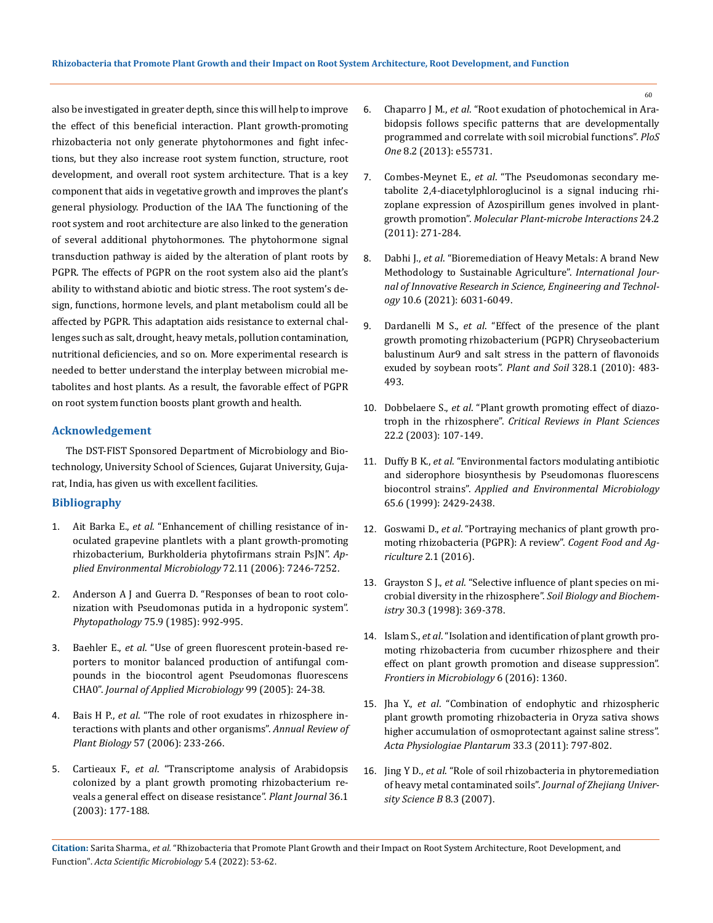also be investigated in greater depth, since this will help to improve the effect of this beneficial interaction. Plant growth-promoting rhizobacteria not only generate phytohormones and fight infections, but they also increase root system function, structure, root development, and overall root system architecture. That is a key component that aids in vegetative growth and improves the plant's general physiology. Production of the IAA The functioning of the root system and root architecture are also linked to the generation of several additional phytohormones. The phytohormone signal transduction pathway is aided by the alteration of plant roots by PGPR. The effects of PGPR on the root system also aid the plant's ability to withstand abiotic and biotic stress. The root system's design, functions, hormone levels, and plant metabolism could all be affected by PGPR. This adaptation aids resistance to external challenges such as salt, drought, heavy metals, pollution contamination, nutritional deficiencies, and so on. More experimental research is needed to better understand the interplay between microbial metabolites and host plants. As a result, the favorable effect of PGPR on root system function boosts plant growth and health.

### **Acknowledgement**

The DST-FIST Sponsored Department of Microbiology and Biotechnology, University School of Sciences, Gujarat University, Gujarat, India, has given us with excellent facilities.

## **Bibliography**

- 1. Ait Barka E., *et al*[. "Enhancement of chilling resistance of in](https://journals.asm.org/doi/10.1128/AEM.01047-06)[oculated grapevine plantlets with a plant growth-promoting](https://journals.asm.org/doi/10.1128/AEM.01047-06)  [rhizobacterium, Burkholderia phytofirmans strain PsJN".](https://journals.asm.org/doi/10.1128/AEM.01047-06) *Ap[plied Environmental Microbiology](https://journals.asm.org/doi/10.1128/AEM.01047-06)* 72.11 (2006): 7246-7252.
- 2. [Anderson A J and Guerra D. "Responses of bean to root colo](https://www.researchgate.net/publication/240593924_Responses_of_Bean_to_Root_Colonization_With_Pseudomonas_putida_in_a_Hydroponic_System)[nization with Pseudomonas putida in a hydroponic system".](https://www.researchgate.net/publication/240593924_Responses_of_Bean_to_Root_Colonization_With_Pseudomonas_putida_in_a_Hydroponic_System)  *Phytopathology* [75.9 \(1985\): 992-995.](https://www.researchgate.net/publication/240593924_Responses_of_Bean_to_Root_Colonization_With_Pseudomonas_putida_in_a_Hydroponic_System)
- 3. Baehler E., *et al*[. "Use of green fluorescent protein-based re](https://pubmed.ncbi.nlm.nih.gov/15960662/)[porters to monitor balanced production of antifungal com](https://pubmed.ncbi.nlm.nih.gov/15960662/)[pounds in the biocontrol agent Pseudomonas fluorescens](https://pubmed.ncbi.nlm.nih.gov/15960662/)  CHA0". *[Journal of Applied Microbiology](https://pubmed.ncbi.nlm.nih.gov/15960662/)* 99 (2005): 24-38.
- 4. Bais H P., *et al*[. "The role of root exudates in rhizosphere in](https://pubmed.ncbi.nlm.nih.gov/16669762/)[teractions with plants and other organisms".](https://pubmed.ncbi.nlm.nih.gov/16669762/) *Annual Review of Plant Biology* [57 \(2006\): 233-266.](https://pubmed.ncbi.nlm.nih.gov/16669762/)
- 5. Cartieaux F., *et al*[. "Transcriptome analysis of Arabidopsis](https://pubmed.ncbi.nlm.nih.gov/14535883/)  [colonized by a plant growth promoting rhizobacterium re](https://pubmed.ncbi.nlm.nih.gov/14535883/)[veals a general effect on disease resistance".](https://pubmed.ncbi.nlm.nih.gov/14535883/) *Plant Journal* 36.1 [\(2003\): 177-188.](https://pubmed.ncbi.nlm.nih.gov/14535883/)
- 6. Chaparro J M., *et al*[. "Root exudation of photochemical in Ara](https://journals.plos.org/plosone/article?id=10.1371/journal.pone.0055731)[bidopsis follows specific patterns that are developmentally](https://journals.plos.org/plosone/article?id=10.1371/journal.pone.0055731)  [programmed and correlate with soil microbial functions".](https://journals.plos.org/plosone/article?id=10.1371/journal.pone.0055731) *PloS One* [8.2 \(2013\): e55731.](https://journals.plos.org/plosone/article?id=10.1371/journal.pone.0055731)
- 7. Combes-Meynet E., *et al*[. "The Pseudomonas secondary me](https://pubmed.ncbi.nlm.nih.gov/21043573/)[tabolite 2,4-diacetylphloroglucinol is a signal inducing rhi](https://pubmed.ncbi.nlm.nih.gov/21043573/)[zoplane expression of Azospirillum genes involved in plant](https://pubmed.ncbi.nlm.nih.gov/21043573/)growth promotion". *[Molecular Plant-microbe Interactions](https://pubmed.ncbi.nlm.nih.gov/21043573/)* 24.2 [\(2011\): 271-284.](https://pubmed.ncbi.nlm.nih.gov/21043573/)
- 8. Dabhi J., *et al*. "Bioremediation of Heavy Metals: A brand New Methodology to Sustainable Agriculture". *International Journal of Innovative Research in Science, Engineering and Technology* 10.6 (2021): 6031-6049.
- 9. Dardanelli M S., *et al*[. "Effect of the presence of the plant](https://www.researchgate.net/publication/225702272_Effect_of_the_presence_of_the_plant_growth_promoting_rhizobacterium_PGPR_Chryseobacterium_balustinum_Aur9_and_salt_stress_in_the_pattern_of_flavonoids_exuded_by_soybean_roots)  [growth promoting rhizobacterium \(PGPR\) Chryseobacterium](https://www.researchgate.net/publication/225702272_Effect_of_the_presence_of_the_plant_growth_promoting_rhizobacterium_PGPR_Chryseobacterium_balustinum_Aur9_and_salt_stress_in_the_pattern_of_flavonoids_exuded_by_soybean_roots)  [balustinum Aur9 and salt stress in the pattern of flavonoids](https://www.researchgate.net/publication/225702272_Effect_of_the_presence_of_the_plant_growth_promoting_rhizobacterium_PGPR_Chryseobacterium_balustinum_Aur9_and_salt_stress_in_the_pattern_of_flavonoids_exuded_by_soybean_roots)  [exuded by soybean roots".](https://www.researchgate.net/publication/225702272_Effect_of_the_presence_of_the_plant_growth_promoting_rhizobacterium_PGPR_Chryseobacterium_balustinum_Aur9_and_salt_stress_in_the_pattern_of_flavonoids_exuded_by_soybean_roots) *Plant and Soil* 328.1 (2010): 483- [493.](https://www.researchgate.net/publication/225702272_Effect_of_the_presence_of_the_plant_growth_promoting_rhizobacterium_PGPR_Chryseobacterium_balustinum_Aur9_and_salt_stress_in_the_pattern_of_flavonoids_exuded_by_soybean_roots)
- 10. Dobbelaere S., *et al*. "Plant growth promoting effect of diazotroph in the rhizosphere". *Critical Reviews in Plant Sciences* 22.2 (2003): 107-149.
- 11. Duffy B K., *et al*[. "Environmental factors modulating antibiotic](https://www.ncbi.nlm.nih.gov/pmc/articles/PMC91358/)  [and siderophore biosynthesis by Pseudomonas fluorescens](https://www.ncbi.nlm.nih.gov/pmc/articles/PMC91358/)  biocontrol strains". *[Applied and Environmental Microbiology](https://www.ncbi.nlm.nih.gov/pmc/articles/PMC91358/)* [65.6 \(1999\): 2429-2438.](https://www.ncbi.nlm.nih.gov/pmc/articles/PMC91358/)
- 12. Goswami D., *et al*[. "Portraying mechanics of plant growth pro](https://www.tandfonline.com/doi/full/10.1080/23311932.2015.1127500)[moting rhizobacteria \(PGPR\): A review".](https://www.tandfonline.com/doi/full/10.1080/23311932.2015.1127500) *Cogent Food and Agriculture* [2.1 \(2016\).](https://www.tandfonline.com/doi/full/10.1080/23311932.2015.1127500)
- 13. Grayston S J., *et al*[. "Selective influence of plant species on mi](https://www.sciencedirect.com/science/article/abs/pii/S0038071797001247)[crobial diversity in the rhizosphere".](https://www.sciencedirect.com/science/article/abs/pii/S0038071797001247) *Soil Biology and Biochemistry* [30.3 \(1998\): 369-378.](https://www.sciencedirect.com/science/article/abs/pii/S0038071797001247)
- 14. Islam S., *et al*[. "Isolation and identification of plant growth pro](https://www.frontiersin.org/articles/10.3389/fmicb.2015.01360/full)[moting rhizobacteria from cucumber rhizosphere and their](https://www.frontiersin.org/articles/10.3389/fmicb.2015.01360/full)  [effect on plant growth promotion and disease suppression".](https://www.frontiersin.org/articles/10.3389/fmicb.2015.01360/full)  *[Frontiers in Microbiology](https://www.frontiersin.org/articles/10.3389/fmicb.2015.01360/full)* 6 (2016): 1360.
- 15. Jha Y., *et al*[. "Combination of endophytic and rhizospheric](https://www.researchgate.net/publication/216259865_Combination_of_endophytic_and_rhizospheric_plant_growth_promoting_rhizobacteria_in_Oryza_sativa_shows_higher_accumulation_of_osmoprotectant_against_saline_stress)  [plant growth promoting rhizobacteria in Oryza sativa shows](https://www.researchgate.net/publication/216259865_Combination_of_endophytic_and_rhizospheric_plant_growth_promoting_rhizobacteria_in_Oryza_sativa_shows_higher_accumulation_of_osmoprotectant_against_saline_stress)  [higher accumulation of osmoprotectant against saline stress".](https://www.researchgate.net/publication/216259865_Combination_of_endophytic_and_rhizospheric_plant_growth_promoting_rhizobacteria_in_Oryza_sativa_shows_higher_accumulation_of_osmoprotectant_against_saline_stress)  *[Acta Physiologiae Plantarum](https://www.researchgate.net/publication/216259865_Combination_of_endophytic_and_rhizospheric_plant_growth_promoting_rhizobacteria_in_Oryza_sativa_shows_higher_accumulation_of_osmoprotectant_against_saline_stress)* 33.3 (2011): 797-802.
- 16. Jing Y D., *et al*. "Role of soil rhizobacteria in phytoremediation of heavy metal contaminated soils". *Journal of Zhejiang University Science B* 8.3 (2007).

**Citation:** Sarita Sharma*., et al.* "Rhizobacteria that Promote Plant Growth and their Impact on Root System Architecture, Root Development, and Function". *Acta Scientific Microbiology* 5.4 (2022): 53-62.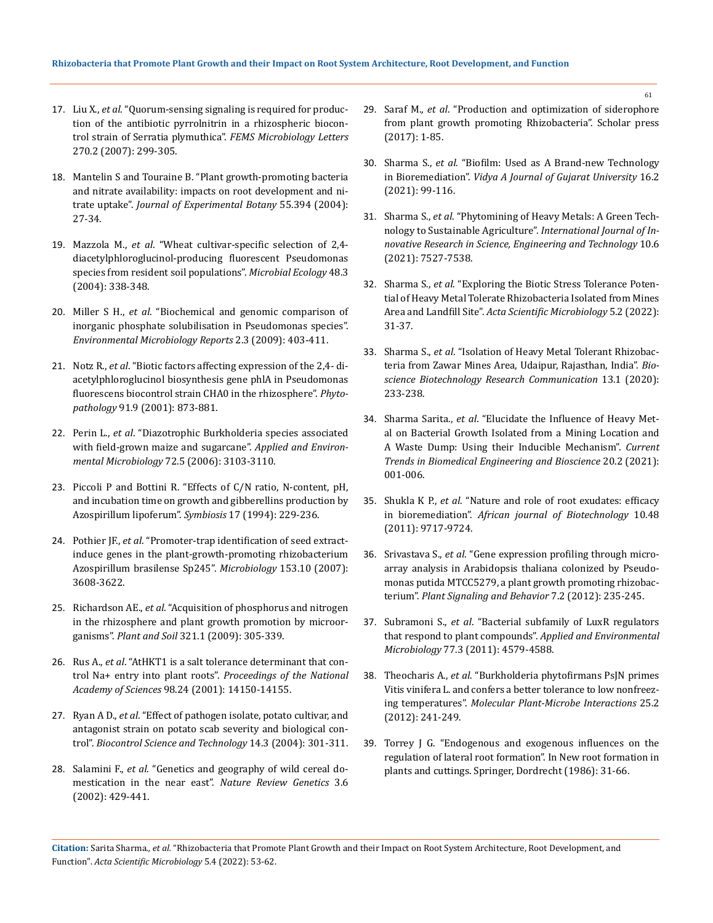- 17. Liu X., *et al*. "Quorum-sensing signaling is required for production of the antibiotic pyrrolnitrin in a rhizospheric biocontrol strain of Serratia plymuthica". *FEMS Microbiology Letters* 270.2 (2007): 299-305.
- 18. Mantelin S and Touraine B. "Plant growth-promoting bacteria and nitrate availability: impacts on root development and nitrate uptake". *Journal of Experimental Botany* 55.394 (2004): 27-34.
- 19. Mazzola M., *et al*[. "Wheat cultivar-specific selection of 2,4](https://pubmed.ncbi.nlm.nih.gov/15692854/)  [diacetylphloroglucinol-producing fluorescent Pseudomonas](https://pubmed.ncbi.nlm.nih.gov/15692854/)  [species from resident soil populations".](https://pubmed.ncbi.nlm.nih.gov/15692854/) *Microbial Ecology* 48.3 [\(2004\): 338-348.](https://pubmed.ncbi.nlm.nih.gov/15692854/)
- 20. Miller S H., *et al*[. "Biochemical and genomic comparison of](https://pubmed.ncbi.nlm.nih.gov/23766113/)  [inorganic phosphate solubilisation in Pseudomonas species".](https://pubmed.ncbi.nlm.nih.gov/23766113/)  *[Environmental Microbiology Reports](https://pubmed.ncbi.nlm.nih.gov/23766113/)* 2.3 (2009): 403-411.
- 21. Notz R., *et al*[. "Biotic factors affecting expression of the 2,4- di](https://pubmed.ncbi.nlm.nih.gov/18944233/)[acetylphloroglucinol biosynthesis gene phlA in Pseudomonas](https://pubmed.ncbi.nlm.nih.gov/18944233/)  [fluorescens biocontrol strain CHA0 in the rhizosphere".](https://pubmed.ncbi.nlm.nih.gov/18944233/) *Phytopathology* [91.9 \(2001\): 873-881.](https://pubmed.ncbi.nlm.nih.gov/18944233/)
- 22. Perin L., *et al*[. "Diazotrophic Burkholderia species associated](https://journals.asm.org/doi/10.1128/AEM.72.5.3103-3110.2006)  [with field-grown maize and sugarcane".](https://journals.asm.org/doi/10.1128/AEM.72.5.3103-3110.2006) *Applied and Environmental Microbiology* [72.5 \(2006\): 3103-3110.](https://journals.asm.org/doi/10.1128/AEM.72.5.3103-3110.2006)
- 23. [Piccoli P and Bottini R. "Effects of C/N ratio, N-content, pH,](https://dalspace.library.dal.ca/bitstream/handle/10222/77404/VOLUME%2017-NUMBER%202-3-1994-PAGE%20229.pdf?sequence=1)  [and incubation time on growth and gibberellins production by](https://dalspace.library.dal.ca/bitstream/handle/10222/77404/VOLUME%2017-NUMBER%202-3-1994-PAGE%20229.pdf?sequence=1)  [Azospirillum lipoferum".](https://dalspace.library.dal.ca/bitstream/handle/10222/77404/VOLUME%2017-NUMBER%202-3-1994-PAGE%20229.pdf?sequence=1) *Symbiosis* 17 (1994): 229-236.
- 24. Pothier JF., *et al*[. "Promoter-trap identification of seed extract](https://pubmed.ncbi.nlm.nih.gov/17906157/)[induce genes in the plant-growth-promoting rhizobacterium](https://pubmed.ncbi.nlm.nih.gov/17906157/)  [Azospirillum brasilense Sp245".](https://pubmed.ncbi.nlm.nih.gov/17906157/) *Microbiology* 153.10 (2007): [3608-3622.](https://pubmed.ncbi.nlm.nih.gov/17906157/)
- 25. Richardson AE., *et al*[. "Acquisition of phosphorus and nitrogen](https://link.springer.com/article/10.1007/s11104-009-9895-2)  [in the rhizosphere and plant growth promotion by microor](https://link.springer.com/article/10.1007/s11104-009-9895-2)ganisms". *Plant and Soil* [321.1 \(2009\): 305-339.](https://link.springer.com/article/10.1007/s11104-009-9895-2)
- 26. Rus A., *et al*[. "AtHKT1 is a salt tolerance determinant that con](https://pubmed.ncbi.nlm.nih.gov/11698666/)trol Na+ entry into plant roots". *[Proceedings of the National](https://pubmed.ncbi.nlm.nih.gov/11698666/)  Academy of Sciences* [98.24 \(2001\): 14150-14155.](https://pubmed.ncbi.nlm.nih.gov/11698666/)
- 27. Ryan A D., *et al*[. "Effect of pathogen isolate, potato cultivar, and](https://www.tandfonline.com/doi/abs/10.1080/09583150410001665187)  [antagonist strain on potato scab severity and biological con](https://www.tandfonline.com/doi/abs/10.1080/09583150410001665187)trol". *[Biocontrol Science and Technology](https://www.tandfonline.com/doi/abs/10.1080/09583150410001665187)* 14.3 (2004): 301-311.
- 28. Salamini F., *et al*[. "Genetics and geography of wild cereal do](https://www.nature.com/articles/nrg817)[mestication in the near east".](https://www.nature.com/articles/nrg817) *Nature Review Genetics* 3.6 [\(2002\): 429-441.](https://www.nature.com/articles/nrg817)
- 29. Saraf M., *et al*. "Production and optimization of siderophore from plant growth promoting Rhizobacteria". Scholar press (2017): 1-85.
- 30. Sharma S., *et al*. "Biofilm: Used as A Brand-new Technology in Bioremediation". *Vidya A Journal of Gujarat University* 16.2 (2021): 99-116.
- 31. Sharma S., *et al*[. "Phytomining of Heavy Metals: A Green Tech](https://www.semanticscholar.org/paper/Phytomining-of-Heavy-Metals%3A-A-Green-Technology-to-Sharma-Parihar/2c3f80780115805f251e7b030ead6a00a4539c87)[nology to Sustainable Agriculture".](https://www.semanticscholar.org/paper/Phytomining-of-Heavy-Metals%3A-A-Green-Technology-to-Sharma-Parihar/2c3f80780115805f251e7b030ead6a00a4539c87) *International Journal of In[novative Research in Science, Engineering and Technology](https://www.semanticscholar.org/paper/Phytomining-of-Heavy-Metals%3A-A-Green-Technology-to-Sharma-Parihar/2c3f80780115805f251e7b030ead6a00a4539c87)* 10.6 [\(2021\): 7527-7538.](https://www.semanticscholar.org/paper/Phytomining-of-Heavy-Metals%3A-A-Green-Technology-to-Sharma-Parihar/2c3f80780115805f251e7b030ead6a00a4539c87)
- 32. Sharma S., *et al*. "Exploring the Biotic Stress Tolerance Potential of Heavy Metal Tolerate Rhizobacteria Isolated from Mines Area and Landfill Site". *Acta Scientific Microbiology* 5.2 (2022): 31-37.
- 33. Sharma S., *et al*[. "Isolation of Heavy Metal Tolerant Rhizobac](https://www.researchgate.net/publication/350789150_Isolation_of_Heavy_Metal_Tolerant_Rhizobacteria_from_Zawar_Mines_Area_Udaipur_Rajasthan_India)[teria from Zawar Mines Area, Udaipur, Rajasthan, India".](https://www.researchgate.net/publication/350789150_Isolation_of_Heavy_Metal_Tolerant_Rhizobacteria_from_Zawar_Mines_Area_Udaipur_Rajasthan_India) *Bio[science Biotechnology Research Communication](https://www.researchgate.net/publication/350789150_Isolation_of_Heavy_Metal_Tolerant_Rhizobacteria_from_Zawar_Mines_Area_Udaipur_Rajasthan_India)* 13.1 (2020): [233-238.](https://www.researchgate.net/publication/350789150_Isolation_of_Heavy_Metal_Tolerant_Rhizobacteria_from_Zawar_Mines_Area_Udaipur_Rajasthan_India)
- 34. Sharma Sarita., *et al*. "Elucidate the Influence of Heavy Metal on Bacterial Growth Isolated from a Mining Location and A Waste Dump: Using their Inducible Mechanism". *Current Trends in Biomedical Engineering and Bioscience* 20.2 (2021): 001-006.
- 35. Shukla K P., *et al*. "Nature and role of root exudates: efficacy in bioremediation". *African journal of Biotechnology* 10.48 (2011): 9717-9724.
- 36. Srivastava S., *et al*[. "Gene expression profiling through micro](https://www.ncbi.nlm.nih.gov/pmc/articles/PMC3405686/)[array analysis in Arabidopsis thaliana colonized by Pseudo](https://www.ncbi.nlm.nih.gov/pmc/articles/PMC3405686/)[monas putida MTCC5279, a plant growth promoting rhizobac](https://www.ncbi.nlm.nih.gov/pmc/articles/PMC3405686/)terium". *[Plant Signaling and Behavior](https://www.ncbi.nlm.nih.gov/pmc/articles/PMC3405686/)* 7.2 (2012): 235-245.
- 37. Subramoni S., *et al*[. "Bacterial subfamily of LuxR regulators](https://www.ncbi.nlm.nih.gov/pmc/articles/PMC3127701/)  [that respond to plant compounds".](https://www.ncbi.nlm.nih.gov/pmc/articles/PMC3127701/) *Applied and Environmental Microbiology* [77.3 \(2011\): 4579-4588.](https://www.ncbi.nlm.nih.gov/pmc/articles/PMC3127701/)
- 38. Theocharis A., *et al*[. "Burkholderia phytofirmans PsJN primes](https://apsjournals.apsnet.org/doi/10.1094/MPMI-05-11-0124)  [Vitis vinifera L. and confers a better tolerance to low nonfreez](https://apsjournals.apsnet.org/doi/10.1094/MPMI-05-11-0124)ing temperatures". *[Molecular Plant-Microbe Interactions](https://apsjournals.apsnet.org/doi/10.1094/MPMI-05-11-0124)* 25.2 [\(2012\): 241-249.](https://apsjournals.apsnet.org/doi/10.1094/MPMI-05-11-0124)
- 39. Torrey J G. "Endogenous and exogenous influences on the regulation of lateral root formation". In New root formation in plants and cuttings. Springer, Dordrecht (1986): 31-66.

**Citation:** Sarita Sharma*., et al.* "Rhizobacteria that Promote Plant Growth and their Impact on Root System Architecture, Root Development, and Function". *Acta Scientific Microbiology* 5.4 (2022): 53-62.